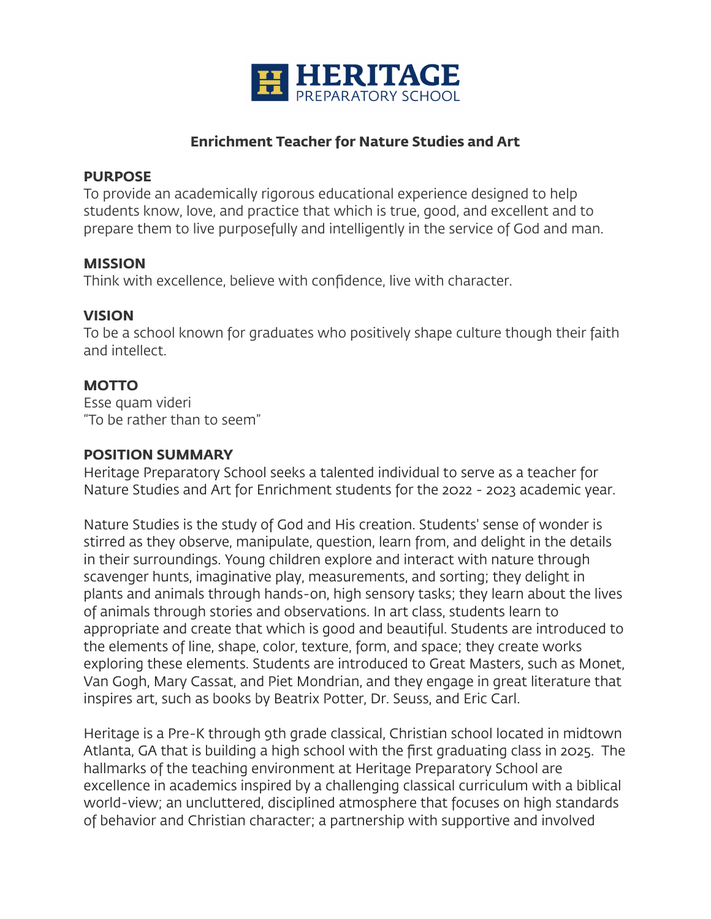

## **Enrichment Teacher for Nature Studies and Art**

#### **PURPOSE**

To provide an academically rigorous educational experience designed to help students know, love, and practice that which is true, good, and excellent and to prepare them to live purposefully and intelligently in the service of God and man.

#### **MISSION**

Think with excellence, believe with confidence, live with character.

#### **VISION**

To be a school known for graduates who positively shape culture though their faith and intellect.

## **MOTTO**

Esse quam videri "To be rather than to seem"

## **POSITION SUMMARY**

Heritage Preparatory School seeks a talented individual to serve as a teacher for Nature Studies and Art for Enrichment students for the 2022 - 2023 academic year.

Nature Studies is the study of God and His creation. Students' sense of wonder is stirred as they observe, manipulate, question, learn from, and delight in the details in their surroundings. Young children explore and interact with nature through scavenger hunts, imaginative play, measurements, and sorting; they delight in plants and animals through hands-on, high sensory tasks; they learn about the lives of animals through stories and observations. In art class, students learn to appropriate and create that which is good and beautiful. Students are introduced to the elements of line, shape, color, texture, form, and space; they create works exploring these elements. Students are introduced to Great Masters, such as Monet, Van Gogh, Mary Cassat, and Piet Mondrian, and they engage in great literature that inspires art, such as books by Beatrix Potter, Dr. Seuss, and Eric Carl.

Heritage is a Pre-K through 9th grade classical, Christian school located in midtown Atlanta, GA that is building a high school with the first graduating class in 2025. The hallmarks of the teaching environment at Heritage Preparatory School are excellence in academics inspired by a challenging classical curriculum with a biblical world-view; an uncluttered, disciplined atmosphere that focuses on high standards of behavior and Christian character; a partnership with supportive and involved